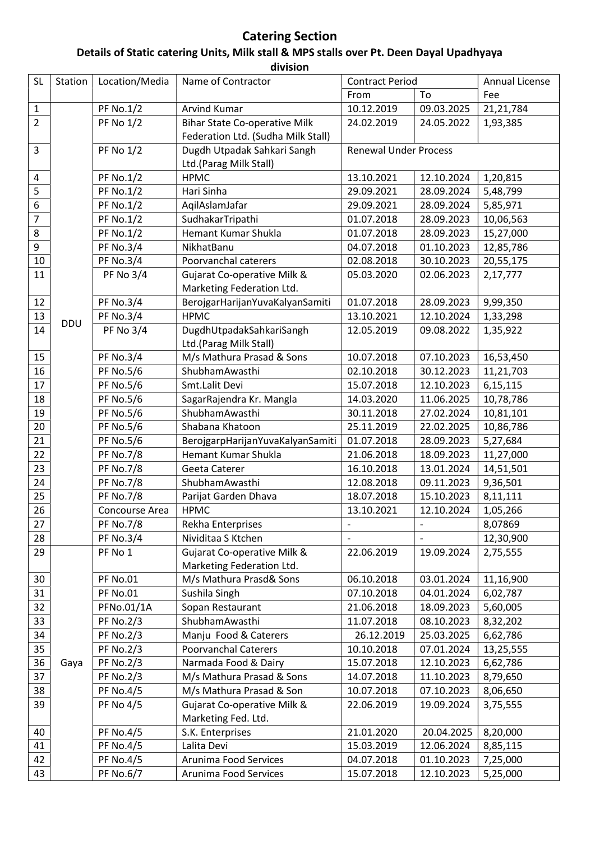## Catering Section Details of Static catering Units, Milk stall & MPS stalls over Pt. Deen Dayal Upadhyaya division

| <b>SL</b>        | Station    | Location/Media   | Name of Contractor                   | <b>Contract Period</b>       |                          | Annual License |  |
|------------------|------------|------------------|--------------------------------------|------------------------------|--------------------------|----------------|--|
|                  |            |                  |                                      | From                         | To                       | Fee            |  |
| $\mathbf{1}$     |            | <b>PF No.1/2</b> | <b>Arvind Kumar</b>                  | 10.12.2019                   | 09.03.2025               | 21,21,784      |  |
| $\overline{2}$   |            | <b>PF No 1/2</b> | <b>Bihar State Co-operative Milk</b> | 24.02.2019                   | 24.05.2022               | 1,93,385       |  |
|                  |            |                  | Federation Ltd. (Sudha Milk Stall)   |                              |                          |                |  |
| 3                |            | <b>PF No 1/2</b> | Dugdh Utpadak Sahkari Sangh          | <b>Renewal Under Process</b> |                          |                |  |
|                  |            |                  | Ltd.(Parag Milk Stall)               |                              |                          |                |  |
| 4                |            | <b>PF No.1/2</b> | <b>HPMC</b>                          | 13.10.2021                   | 12.10.2024               | 1,20,815       |  |
| 5                |            | <b>PF No.1/2</b> | Hari Sinha                           | 29.09.2021                   | 28.09.2024               | 5,48,799       |  |
| 6                |            | <b>PF No.1/2</b> | AqilAslamJafar                       | 29.09.2021                   | 28.09.2024               | 5,85,971       |  |
| $\overline{7}$   |            | <b>PF No.1/2</b> | SudhakarTripathi                     | 01.07.2018                   | 28.09.2023               | 10,06,563      |  |
| 8                |            | <b>PF No.1/2</b> | Hemant Kumar Shukla                  | 01.07.2018                   | 28.09.2023               | 15,27,000      |  |
| $\boldsymbol{9}$ |            | <b>PF No.3/4</b> | NikhatBanu                           | 04.07.2018                   | 01.10.2023               | 12,85,786      |  |
| 10               |            | <b>PF No.3/4</b> | Poorvanchal caterers                 | 02.08.2018                   | 30.10.2023               | 20,55,175      |  |
| 11               |            | <b>PF No 3/4</b> | Gujarat Co-operative Milk &          | 05.03.2020                   | 02.06.2023               | 2,17,777       |  |
|                  |            |                  | Marketing Federation Ltd.            |                              |                          |                |  |
| 12               |            | <b>PF No.3/4</b> | BerojgarHarijanYuvaKalyanSamiti      | 01.07.2018                   | 28.09.2023               | 9,99,350       |  |
| 13               |            | <b>PF No.3/4</b> | <b>HPMC</b>                          | 13.10.2021                   | 12.10.2024               | 1,33,298       |  |
| 14               | <b>DDU</b> | <b>PF No 3/4</b> | DugdhUtpadakSahkariSangh             | 12.05.2019                   | 09.08.2022               | 1,35,922       |  |
|                  |            |                  | Ltd.(Parag Milk Stall)               |                              |                          |                |  |
| 15               |            | <b>PF No.3/4</b> | M/s Mathura Prasad & Sons            | 10.07.2018                   | 07.10.2023               | 16,53,450      |  |
| 16               |            | <b>PF No.5/6</b> | ShubhamAwasthi                       | 02.10.2018                   | 30.12.2023               | 11,21,703      |  |
| 17               |            | <b>PF No.5/6</b> | Smt.Lalit Devi                       | 15.07.2018                   | 12.10.2023               | 6,15,115       |  |
| 18               |            | <b>PF No.5/6</b> | SagarRajendra Kr. Mangla             | 14.03.2020                   | 11.06.2025               | 10,78,786      |  |
| 19               |            | <b>PF No.5/6</b> | ShubhamAwasthi                       | 30.11.2018                   | 27.02.2024               | 10,81,101      |  |
| 20               |            | <b>PF No.5/6</b> | Shabana Khatoon                      | 25.11.2019                   | 22.02.2025               | 10,86,786      |  |
| 21               |            | <b>PF No.5/6</b> | BerojgarpHarijanYuvaKalyanSamiti     | 01.07.2018                   | 28.09.2023               | 5,27,684       |  |
| 22               |            | <b>PF No.7/8</b> | Hemant Kumar Shukla                  | 21.06.2018                   | 18.09.2023               | 11,27,000      |  |
| 23               |            | <b>PF No.7/8</b> | Geeta Caterer                        | 16.10.2018                   | 13.01.2024               | 14,51,501      |  |
| 24               |            | <b>PF No.7/8</b> | ShubhamAwasthi                       | 12.08.2018                   | 09.11.2023               | 9,36,501       |  |
| 25               |            | <b>PF No.7/8</b> | Parijat Garden Dhava                 | 18.07.2018                   | 15.10.2023               | 8,11,111       |  |
| 26               |            | Concourse Area   | <b>HPMC</b>                          | 13.10.2021                   | 12.10.2024               | 1,05,266       |  |
| 27               |            | PF No.7/8        | Rekha Enterprises                    | -                            | $\overline{\phantom{a}}$ | 8,07869        |  |
| 28               |            | <b>PF No.3/4</b> | Nividitaa S Ktchen                   |                              | $\overline{a}$           | 12,30,900      |  |
| 29               |            | PF No 1          | Gujarat Co-operative Milk &          | 22.06.2019                   | 19.09.2024               | 2,75,555       |  |
|                  | Gaya       |                  | Marketing Federation Ltd.            |                              |                          |                |  |
| 30               |            | <b>PF No.01</b>  | M/s Mathura Prasd& Sons              | 06.10.2018                   | 03.01.2024               | 11,16,900      |  |
| 31               |            | <b>PF No.01</b>  | Sushila Singh                        | 07.10.2018                   | 04.01.2024               | 6,02,787       |  |
| 32               |            | PFNo.01/1A       | Sopan Restaurant                     | 21.06.2018                   | 18.09.2023               | 5,60,005       |  |
| 33               |            | <b>PF No.2/3</b> | ShubhamAwasthi                       | 11.07.2018                   | 08.10.2023               | 8,32,202       |  |
| 34               |            | <b>PF No.2/3</b> | Manju Food & Caterers                | 26.12.2019                   | 25.03.2025               | 6,62,786       |  |
| 35               |            | <b>PF No.2/3</b> | <b>Poorvanchal Caterers</b>          | 10.10.2018                   | 07.01.2024               | 13,25,555      |  |
| 36               |            | <b>PF No.2/3</b> | Narmada Food & Dairy                 | 15.07.2018                   | 12.10.2023               | 6,62,786       |  |
| 37               |            | <b>PF No.2/3</b> | M/s Mathura Prasad & Sons            | 14.07.2018                   | 11.10.2023               | 8,79,650       |  |
| 38               |            | <b>PF No.4/5</b> | M/s Mathura Prasad & Son             | 10.07.2018                   | 07.10.2023               | 8,06,650       |  |
| 39               |            | <b>PF No 4/5</b> | Gujarat Co-operative Milk &          | 22.06.2019                   | 19.09.2024               | 3,75,555       |  |
|                  |            |                  | Marketing Fed. Ltd.                  |                              |                          |                |  |
| 40               |            | <b>PF No.4/5</b> | S.K. Enterprises                     | 21.01.2020                   | 20.04.2025               | 8,20,000       |  |
| 41               |            | <b>PF No.4/5</b> | Lalita Devi                          | 15.03.2019                   | 12.06.2024               | 8,85,115       |  |
| 42               |            | <b>PF No.4/5</b> | Arunima Food Services                | 04.07.2018                   | 01.10.2023               | 7,25,000       |  |
| 43               |            | <b>PF No.6/7</b> | Arunima Food Services                | 15.07.2018                   | 12.10.2023               | 5,25,000       |  |